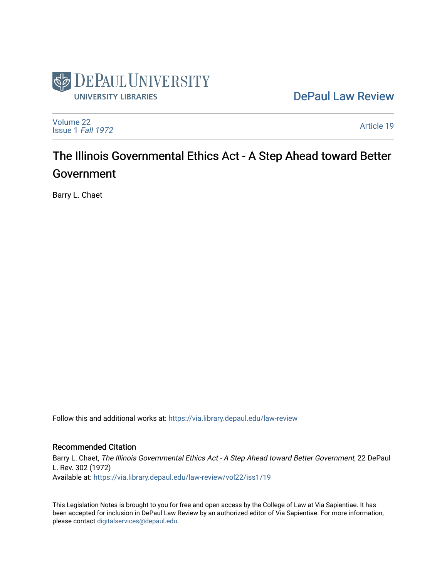

[DePaul Law Review](https://via.library.depaul.edu/law-review) 

[Volume 22](https://via.library.depaul.edu/law-review/vol22) [Issue 1](https://via.library.depaul.edu/law-review/vol22/iss1) Fall 1972

[Article 19](https://via.library.depaul.edu/law-review/vol22/iss1/19) 

# The Illinois Governmental Ethics Act - A Step Ahead toward Better Government

Barry L. Chaet

Follow this and additional works at: [https://via.library.depaul.edu/law-review](https://via.library.depaul.edu/law-review?utm_source=via.library.depaul.edu%2Flaw-review%2Fvol22%2Fiss1%2F19&utm_medium=PDF&utm_campaign=PDFCoverPages) 

## Recommended Citation

Barry L. Chaet, The Illinois Governmental Ethics Act - A Step Ahead toward Better Government, 22 DePaul L. Rev. 302 (1972) Available at: [https://via.library.depaul.edu/law-review/vol22/iss1/19](https://via.library.depaul.edu/law-review/vol22/iss1/19?utm_source=via.library.depaul.edu%2Flaw-review%2Fvol22%2Fiss1%2F19&utm_medium=PDF&utm_campaign=PDFCoverPages)

This Legislation Notes is brought to you for free and open access by the College of Law at Via Sapientiae. It has been accepted for inclusion in DePaul Law Review by an authorized editor of Via Sapientiae. For more information, please contact [digitalservices@depaul.edu.](mailto:digitalservices@depaul.edu)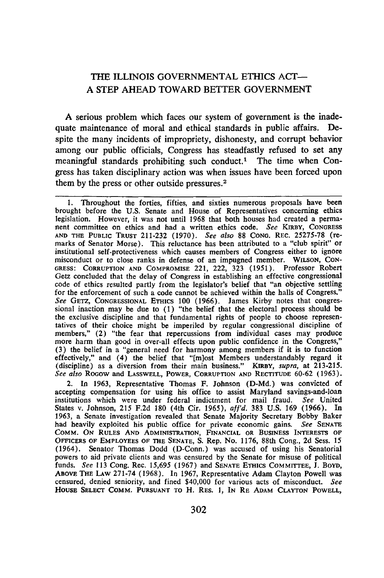## THE ILLINOIS GOVERNMENTAL ETHICS ACT-**A STEP AHEAD** TOWARD BETTER **GOVERNMENT**

A serious problem which faces our system of government is the inadequate maintenance of moral and ethical standards in public affairs. Despite the many incidents of impropriety, dishonesty, and corrupt behavior among our public officials, Congress has steadfastly refused to set any meaningful standards prohibiting such conduct.' The time when Congress has taken disciplinary action was when issues have been forced upon them by the press or other outside pressures.<sup>2</sup>

1. Throughout the forties, fifties, and sixties numerous proposals have been brought before the U.S. Senate and House of Representatives concerning ethics legislation. However, it was not until 1968 that both houses had created a permanent committee on ethics and had a written ethics code. *See* KIRaY, **CONGRESS AND** THE PUBLIC TRUST 211-232 (1970). *See also* 88 CONG. REC. 25275-78 (remarks of Senator Morse). This reluctance has been attributed to a "club spirit" or institutional self-protectiveness which causes members of Congress either to ignore misconduct or to close ranks in defense of an impugned member. WILSON, CON-**GRESS:** CORRUPTION **AND** COMPROMISE 221, 222, 323 (1951). Professor Robert Getz concluded that the delay of Congress in establishing an effective congressional code of ethics resulted partly from the legislator's belief that "an objective settling for the enforcement of such a code cannot be achieved within the halls of Congress." *See* GETZ, **CONGRESSIONAL** ETHICS 100 (1966). James Kirby notes that congres- sional inaction may be due to (1) "the belief that the electoral process should be the exclusive discipline and that fundamental rights of people to choose representatives of their choice might be imperiled by regular congressional discipline of members," (2) "the fear that repercussions from individual cases may produce more harm than good in over-all effects upon public confidence in the Congress," (3) the belief in a "general need for harmony among members if it is to function effectively," and (4) the belief that "[m]ost Members understandably regard it (discipline) as a diversion from their main business." KIRBY, *supra*, at 213-215 *See also* ROGOW and **LASSWELL,** POWER, CORRUPTION **AND** RECTITUDE 60-62 (1963).

In 1963, Representative Thomas F. Johnson (D-Md.) was convicted of accepting compensation for using his office to assist Maryland savings-and-loan institutions which were under federal indictment for mail fraud. *See* United States v. Johnson, 215 F.2d 180 (4th Cir. 1965), *afI'd.* 383 U.S. 169 (1966). In 1963, a Senate investigation revealed that Senate Majority Secretary Bobby Baker had heavily exploited his public office for private economic gains. *See* **SENATE** COMM. **ON RULES AND ADMINISTRATION, FINANCIAL OR BUSINESS INTERESTS OF** OFFICERS **OF EMPLOYEES OF** THE **SENATE, S.** Rep. No. **1176,** 88th Cong., **2d** Sess. 15 (1964). Senator Thomas Dodd **(D-Conn.) was accused of** using his Senatorial powers to aid private clients and was censured **by** the Senate for misuse of political funds. *See* **113** Cong. Rec. **15,695 (1967)** and **SENATE EThICS COMMITTEE, J.** BOYD, **ABOVE THE LAW 271-74 (1968).** In 1967, Representative Adam Clayton Powell was censured, denied seniority, and fined \$40,000 for various acts of misconduct. *See* **HOUSE** SELECT COMM. **PURSUANT TO** H. RES. **1, IN** RE ADAM CLAYTON **POWELL,**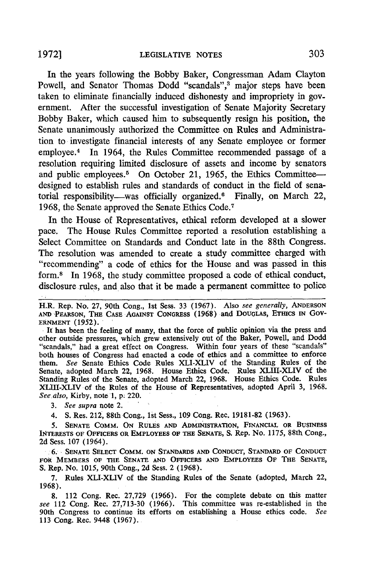In the years following the Bobby Baker, Congressman Adam Clayton Powell, and Senator Thomas Dodd "scandals",<sup>3</sup> major steps have been taken to eliminate financially induced dishonesty and impropriety in government. After the successful investigation of Senate Majority Secretary Bobby Baker, which caused him to subsequently resign his position, the Senate unanimously authorized the Committee on Rules and Administration to investigate financial interests of any Senate employee or former employee.4 In 1964, the Rules Committee recommended passage of a resolution requiring limited disclosure of assets and income by senators and public employees.<sup>5</sup> On October 21, 1965, the Ethics Committeedesigned to establish rules and standards of conduct in the field of senatorial responsibility-was officially organized.<sup>6</sup> Finally, on March 22, 1968, the Senate approved the Senate Ethics Code. <sup>7</sup>

In the House of Representatives, ethical reform developed at a slower pace. The House Rules Committee reported a resolution establishing a Select Committee on Standards and Conduct late in the 88th Congress. The resolution was amended to create a study committee charged with "recommending" a code of ethics for the House and was passed in this form.8 In 1968, the study committee proposed a code of ethical conduct, disclosure rules, and also that it be made a permanent committee to police

**.** It has been the feeling of many, that the force of public opinion via the press and other outside pressures, which grew extensively out of the Baker, Powell, and Dodd "scandals," had a great effect on Congress. Within four years of these "scandals" both houses of Congress had enacted a code of ethics and a committee to enforce them. *See* Senate Ethics Code Rules XLI-XLIV of the Standing Rules of the Senate, adopted March 22, **1968.** House Ethics Code. Rules XLIII-XLIV of the Standing Rules of the Senate, adopted March 22, **1968.** House Ethics Code. Rules XLIH-XLIV of the Rules of the House of Representatives, adopted April 3, **1968.** *See also,* Kirby, note'l, **p.** 220.

*3. See supra* note 2.

4. **S.** Res. 212, 88th Cong., 1st Sess., 109 Cong. Rec. 19181-82 **(1963).**

**5. SENATE** COMM. **ON** RULES **AND ADMINISTRATION, FINANCIAL OR BUSINESS INTERESTS OF OFFICERS** OR **EMPLOYEES OF THlE SENATE, S. Rep. No. 1175,** 88th Cong., **2d Sess. 107** (1964).

**. 6. SENATE SELECT COMM. ON STANDARDS AND CONDUCT, STANDARD OF CONDUCT FOR MEMBERS OF THE SENATE AND OFFICERS AND EMPLOYEES OF THE SENATE, S. Rep. No. 1015,** 90th **Cong., 2d Sess.** 2 **(1968).**

**7. Rules** XLI-XLIV **of** the **Standing Rules of the Senate (adopted, March** 22, **1968).**

**8.** 112 Cong. Rec. **27,729 (1966).** For the complete debate on this matter *see* 112 Cong. Rec. **27,713-30 (1966).** This committee was re-established in the 90th Congress to continue its efforts on establishing a House ethics code. *See* 113 Cong. Rec. 9448 (1967).

H.R. Rep. No. **27,** 90th Cong., 1st Sess. **33** (1967). Also *see generally,* ANDERSON **AND** %PEARSON, THE **CASE AGAINST** CONGRESS (1968) and **DOUGLAS, ETICS** IN GoV-ERNMENT **(1952).**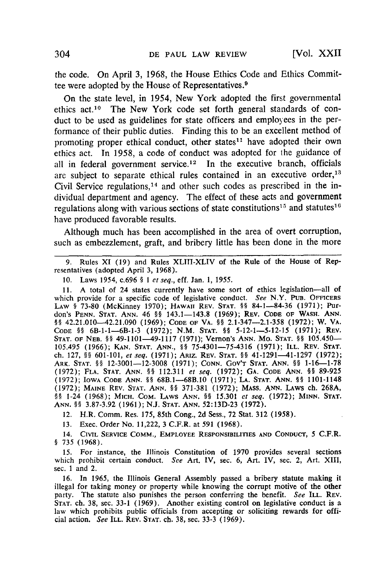the code. On April 3, 1968, the House Ethics Code and Ethics Committee were adopted by the House of Representatives. <sup>9</sup>

On the state level, in 1954, New York adopted the first governmental ethics act.<sup>10</sup> The New York code set forth general standards of conduct to be used as guidelines for state officers and employees in the performance of their public duties. Finding this to be an excellent method of promoting proper ethical conduct, other states<sup>11</sup> have adopted their own ethics act. In 1958, a code of conduct was adopted for the guidance of all in federal government service.<sup>12</sup> In the executive branch, officials are subject to separate ethical rules contained in an executive order,<sup>13</sup> Civil Service regulations,<sup>14</sup> and other such codes as prescribed in the individual department and agency. The effect of these acts and government regulations along with various sections of state constitutions<sup>15</sup> and statutes<sup>16</sup> have produced favorable results.

Although much has been accomplished in the area of overt corruption, such as embezzlement, graft, and bribery little has been done in the more

9. Rules XI (19) and Rules XLIII-XLIV of the Rule of the House of Representatives (adopted April 3, 1968).

10. Laws 1954, c.696 **§** *I et seq.,* eff. Jan. 1, *1955.*

11. A total of 24 states currently have some sort of ethics legislation-all of which provide for a specific code of legislative conduct. *See* N.Y. **PUB.** OFFICERS **LAW §** 73-80 (McKinney 1970); **HAWAII REV. STAT. §§** 84-1-84-36 (1971); Pur**don's PENN. STAT. ANN.** 46 **§** 143.1-143.8 (1969); **REV. CODE OF WASH. ANN. §§** 42.21.010-42.21.090 (1969); **CODE OF VA.** §§ 2.1-347-2.1-358 (1972); W. **VA. CODE H8** 6B-1-1-6B-1-3 (1972); N.M. **STAT. §§** 5-12-1-5-12-15 (1971); REV. **STAT. OF NEB. §** 49-1101-49-1117 (1971); **Vernon's ANN. MO. STAT.** §§ 105.450- 105.495 (1966); **KAN. STAT. ANN., §§** 75-4301-75-4316 (1971); **ILL. REV. STAT.** ch. 127, **§** 601-101, *et seq.* (1971); **Apiz. REV. STAT.** §§ 41-1291--41-1297 (1972); ARK. **STAT. §§** 12-3001-12-3008 (1971); CONN. **GOV'T** STAT. ANN. §§ 1-16-1-78 (1972); FLA. **STAT.** ANN. **§ 112.311** *et seq.* (1972); GA. CODE ANN. §§ 89-925 (1972); IOWA **CODE** ANN. §§ 68B.1-68B.10 (1971); **LA. STAT.** ANN. §§ 1101-1148 (1972); **MAINE** REV. **STAT. ANN.** *§* 371-381 (1972); MASS. **ANN.** LAWS ch. 268A, §§ 1-24 **(1968);** MICH. .COM. LAWS **ANN.** *§§* 15.301 *et seq.* **(1972); MINN.** STAT. **ANN. §§ 3.87-3.92** (1961); N.J. STAT. ANN. **52:13D-23** (1972).

12. H.R. Comm. Res. 175, 85th Cong., **2d** Sess., **72** Stat. **312** (1958).

**13.** Exec. Order No. 11,222, **3** C.F.R. at 591 (1968).

14. **CIVIL SERVICE** COMM., **EMPLOYEE** RESPONSIBILInES **AND CONDUCT, 5** C.F.R. § **735** (1968).

15. For instance, the Illinois Constitution of 1970 provides several sections which prohibit certain conduct. *See* Art. IV, sec. 6, **Art.** IV, sec. 2, Art. XLII, sec. 1 and 2.

**16.** In 1965, the Illinois General Assembly passed a bribery statute making it illegal for taking money or property while knowing the corrupt motive of the other party. The statute also punishes the person conferring the benefit. *See* ILL. REV. STAT. ch. **38,** sec. **33-1** (1969). Another existing control on legislative conduct is a law which prohibits public officials from accepting or soliciting rewards for official action. *See* ILL. REV. **STAT.** ch. **38,** sec. 33-3 (1969).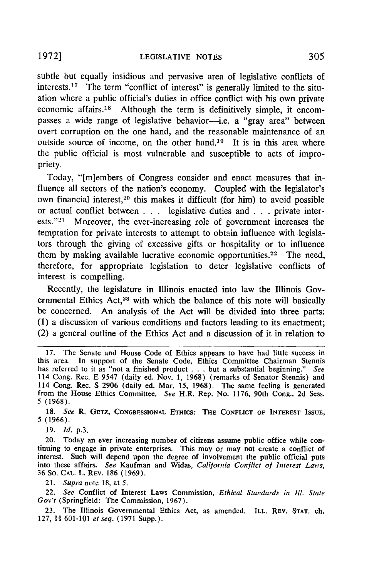subtle but equally insidious and pervasive area of legislative conflicts of interests.17 The term "conflict of interest" is generally limited to the situation where a public official's duties in office conflict with his own private economic affairs.18 Although the term is definitively simple, it encompasses a wide range of legislative behavior—i.e. a "gray area" between overt corruption on the one hand, and the reasonable maintenance of an outside source of income, on the other hand.<sup>19</sup> It is in this area where the public official is most vulnerable and susceptible to acts of impropriety.

Today, "[m]embers of Congress consider and enact measures that influence all sectors of the nation's economy. Coupled with the legislator's own financial interest,<sup>20</sup> this makes it difficult (for him) to avoid possible or actual conflict between . . . legislative duties and . . . private interests." $21$  Moreover, the ever-increasing role of government increases the temptation for private interests to attempt to obtain influence with legislators through the giving of excessive gifts or hospitality or to influence them by making available lucrative economic opportunities.<sup>22</sup> The need, therefore, for appropriate legislation to deter legislative conflicts of interest is compelling.

Recently, the legislature in Illinois enacted into law the Illinois Governmental Ethics Act,<sup>23</sup> with which the balance of this note will basically be concerned. An analysis of the Act will be divided into three parts: (1) a discussion of various conditions and factors leading to its enactment; (2) a general outline of the Ethics Act and a discussion of it in relation to

**18.** See **R.** GETZ, **CONGRESSIONAL** ETHICS: THE **CONFLICT** OF INTEREST ISSUE, **5** (1966).

**19. Id.** p.3.

**20.** Today an ever increasing number of citizens assume public office while con- tinuing to engage in private enterprises. This may or may not create a conflict of interest. Such will depend upon the degree of involvement the public official puts into these affairs. See Kaufman and Widas, California *Conflict of Interest Laws,* 36 So. **CAL.** L. REV. **186 (1969).**

21. Supra note 18, at 5.

22. See Conflict of Interest Laws Commission, *Ethical* Standards in **Ill.** State *Gov't* (Springfield: The Commission, 1967).

23. The Illinois Governmental Ethics Act, as amended. ILL. REV. STAT. ch. 127, §§ 601-101 **et** seq. **(1971** Supp.).

<sup>17.</sup> The Senate and House Code of Ethics appears to have had little success in this area. In support of the Senate Code, Ethics Committee Chairman Stennis has referred to it as "not a finished product . **.**.but a substantial beginning." *See* 114 Cong. Rec. E 9547 (daily ed. Nov. 1, 1968) (remarks of Senator Stennis) and 114 Cong. Rec. **S** 2906 (daily ed. Mar. 15, 1968). The same feeling is generated from the House Ethics Committee. *See* H.R. Rep. No. 1176, 90th Cong., 2d Sess. **5** (1968).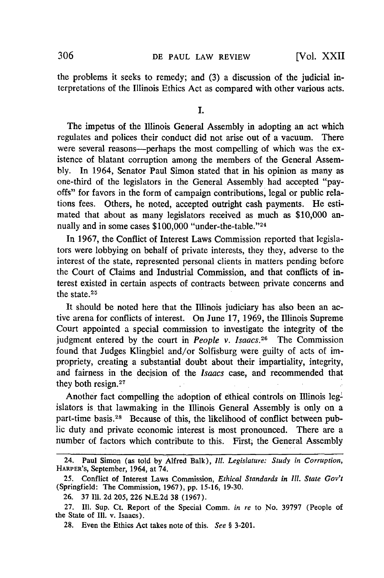the problems it seeks to remedy; and (3) a discussion of the judicial interpretations of the Illinois Ethics Act as compared with other various acts.

#### I.

The impetus of the Illinois General Assembly in adopting an act which regulates and polices their conduct did not arise out of a vacuum. There were several reasons—perhaps the most compelling of which was the existence of blatant corruption among the members of the General Assembly. In 1964, Senator Paul Simon stated that in his opinion as many as one-third of the legislators in the General Assembly had accepted "payoffs" for favors in the form of campaign contributions, legal or public relations fees. Others, he noted, accepted outright cash payments. He estimated that about as many legislators received as much as \$10,000 annually and in some cases \$100,000 "under-the-table."<sup>24</sup>

In 1967, the Conflict of Interest Laws Commission reported that legislators were lobbying on behalf of private interests, they they, adverse to the interest of the state, represented personal clients in matters pending before the Court of Claims and Industrial Commission, and that conflicts of interest existed in certain aspects of contracts between private concerns and the state.25

It should be noted here that the Illinois judiciary has also been an active arena for conflicts of interest. On June 17, 1969, the Illinois Supreme Court appointed a special commission to investigate the integrity of the judgment entered by the court in *People v. Isaacs.26* The Commission found that Judges Klingbiel and/or Solfisburg were guilty of acts of impropriety, creating a substantial doubt about their impartiality, integrity, and fairness in the decision of the *Isaacs* case, and recommended that they both resign.<sup>27</sup>

Another fact compelling the adoption of ethical controls on Illinois leg-' islators is that lawmaking in the Illinois General Assembly is only on a part-time basis.<sup>28</sup> Because of this, the likelihood of conflict between public duty and private economic interest is most pronounced. There are a number of factors which contribute to this. First, the General Assembly

<sup>24.</sup> Paul Simon (as told by Alfred Balk), *Ill.* Legislature: *Study in Corruption,* HARPER'S, September, 1964, at 74.

<sup>25.</sup> Conflict of Interest Laws Commission, *Ethical Standards in Ill. State Gov't* (Springfield: The Commission, 1967), pp. **15-16,** 19-30.

<sup>26. 37</sup> Ill. 2d 205, 226 N.E.2d 38 (1967).

<sup>27.</sup> IM. Sup. Ct. Report of the Special Comm. *in re* to No. 39797 (People of the State of **I11.** v. Isaacs).

<sup>28.</sup> Even the Ethics Act takes note of this. *See §* 3-201.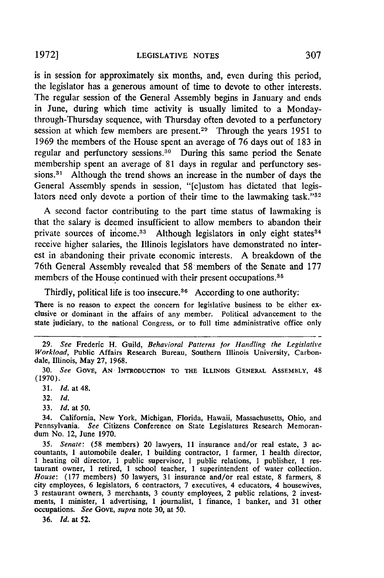is in session for approximately six months, and, even during this period, the legislator has a generous amount of time to devote to other interests. The regular session of the General Assembly begins in January and ends in June, during which time activity is usually limited to a Mondaythrough-Thursday sequence, with Thursday often devoted to a perfunctory session at which few members are present.<sup>29</sup> Through the years 1951 to 1969 the members of the House spent an average of **76** days out of 183 in regular and perfunctory sessions. 30 During this same period the Senate membership spent an average of **81** days in regular and perfunctory sessions.<sup>31</sup> Although the trend shows an increase in the number of days the General Assembly spends in session, "[c]ustom has dictated that legislators need only devote a portion of their time to the lawmaking task."<sup>32</sup>

A second factor contributing to the part time status of lawmaking is that the salary is deemed insufficient to allow members to abandon their private sources of income.<sup>33</sup> Although legislators in only eight states<sup>34</sup> receive higher salaries, the Illinois legislators have demonstrated no interest in abandoning their private economic interests. A breakdown of the 76th General Assembly revealed that 58 members of the Senate and **177** members of the House continued with their present occupations.<sup>35</sup>

Thirdly, political life is too insecure.<sup>36</sup> According to one authority:

There is no reason to expect the concern for legislative business to be either exclusive or dominant in the affairs of any member. Political advancement to the state judiciary, to the national Congress, or to full time administrative office only

33. *Id.* at 50.

*35. Senate:* (58 members) 20 lawyers, 11 insurance and/or real estate, 3 ac- countants, 1 automobile dealer, 1 building contractor, 1 farmer, 1 health director, 1 heating oil director, 1 public supervisor, **I** public relations, 1 publisher, 1 res- taurant owner, 1 retired, 1 school teacher, 1 superintendent of water collection. *House:* (177 members) 50 lawyers, 31 insurance and/or real estate, 8 farmers, 8 city employees, 6 legislators, 6 contractors, 7 executives, 4 educators, 4 housewives, 3 restaurant owners, 3 merchants, 3 county employees, 2 public relations, 2 investments, 1 minister, 1 advertising, 1 journalist, 1 finance, 1 banker, and 31 other occupations. *See GovE, supra* note 30, at 50.

36. *Id.* at 52.

<sup>29.</sup> *See* Frederic H. Guild, *Behavioral Patterns for Handling the Legislative Workload,* Public Affairs Research Bureau, Southern Illinois University, Carbondale, Illinois, May **27, 1968.**

<sup>30.</sup> *See* GOVE, **AN** INTRODUCTION TO THE ILLINOIS GENERAL ASSEMBLY, 48 (1970).

<sup>31.</sup> *Id.* at 48.

<sup>32.</sup> *Id.*

<sup>34.</sup> California, New York, Michigan, Florida, Hawaii, Massachusetts, Ohio, and Pennsylvania. *See* Citizens Conference on State Legislatures Research Memorandum No. 12, June 1970.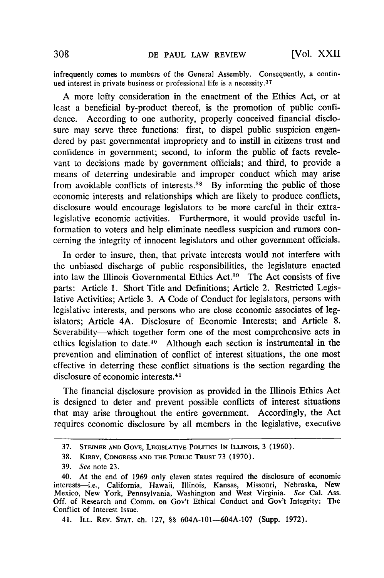infrequently comes to members of the General Assembly. Consequently, a continued interest in private business or professional life is a necessity.<sup>37</sup>

A more lofty consideration in the enactment of the Ethics Act, or at least a beneficial by-product thereof, is the promotion of public confidence. According to one authority, properly conceived financial disclosure may serve three functions: first, to dispel public suspicion engendered by past governmental impropriety and to instill in citizens trust and confidence in government; second, to inform the public of facts revelevant to decisions made by government officials; and third, to provide a means of deterring undesirable and improper conduct which may arise from avoidable conflicts of interests. 38 By informing the public of those economic interests and relationships which are likely to produce conflicts, disclosure would encourage legislators to be more careful in their extralegislative economic activities. Furthermore, it would provide useful information to voters and help eliminate needless suspicion and rumors concerning the integrity of innocent legislators and other government officials.

In order to insure, then, that private interests would not interfere with the unbiased discharge of public responsibilities, the legislature enacted into law the Illinois Governmental Ethics Act.39 The Act consists of five parts: Article 1. Short Title and Definitions; Article 2. Restricted Legislative Activities; Article 3. A Code of Conduct for legislators, persons with legislative interests, and persons who are close economic associates of legislators; Article 4A. Disclosure of Economic Interests; and Article 8. Severability—which together form one of the most comprehensive acts in ethics legislation to date.40 Although each section is instrumental in the prevention and elimination of conflict of interest situations, the one most effective in deterring these conflict situations is the section regarding the disclosure of economic interests. <sup>41</sup>

The financial disclosure provision as provided in the Illinois Ethics Act is designed to deter and prevent possible conflicts of interest situations that may arise throughout the entire government. Accordingly, the Act requires economic disclosure **by** all members in the legislative, executive

<sup>37.</sup> **STEINER AND GOvE,** LEGISLATIVE **POuTICS IN** ILLINOIS, 3 (1960).

**<sup>38.</sup>** KIRBY, **CONGRESS AND** THE PUBLIC **TRUST** 73 (1970).

<sup>39.</sup> See note 23.

<sup>40.</sup> At the end of 1969 only eleven states required the disclosure of economic interests-i.e., California, Hawaii, Illinois, Kansas, Missouri, Nebraska, New Mexico, New York, Pennsylvania, Washington and West Virginia. See Cal. Ass. Off. of Research and Comm. on Gov't Ethical Conduct and Gov't Integrity: The Conflict of Interest Issue.

<sup>41.</sup> ILL. REv. **STAT. ch.** 127, §§ 604A-101-604A-107 (Supp. 1972).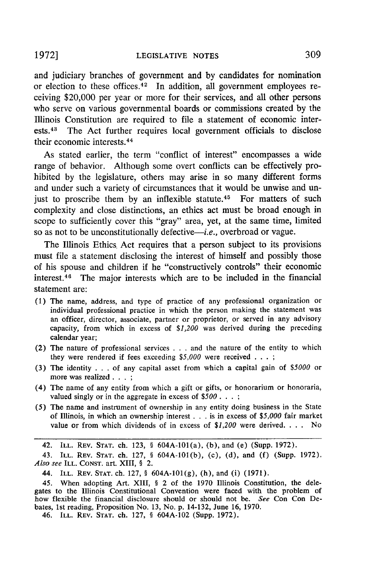and judiciary branches of government and by candidates for nomination or election to these offices. $42$  In addition, all government employees receiving \$20,000 per year or more for their services, and all other persons who serve on various governmental boards or commissions created by the Illinois Constitution are required to file a statement of economic interests.<sup>43</sup> The Act further requires local government officials to disclose their economic interests. <sup>44</sup>

As stated earlier, the term "conflict of interest" encompasses a wide range of behavior. Although some overt conflicts can be effectively prohibited by the legislature, others may arise in so many different forms and under such a variety of circumstances that it would be unwise and unjust to proscribe them by an inflexible statute.<sup>45</sup> For matters of such complexity and close distinctions, an ethics act must be broad enough in scope to sufficiently cover this "gray" area, yet, at the same time, limited so as not to be unconstitutionally defective—*i.e.*, overbroad or vague.

The Illinois Ethics Act requires that a person subject to its provisions must file a statement disclosing the interest of himself and possibly those of his spouse and children if he "constructively controls" their economic interest.<sup>46</sup> The major interests which are to be included in the financial statement are:

- (1) The name, address, and type of practice of any professional organization or individual professional practice in which the person making the statement was an officer, director, associate, partner or proprietor, or served in any advisory capacity, from which in excess of \$1,200 was derived during the preceding calendar year;
- (2) The nature of professional services . . . and the nature of the entity to which they were rendered if fees exceeding *\$5,000* were received **. . . ;**
- (3) The identity **. .** . of any capital asset from which a capital gain of *\$5000* or more was realized... **;**
- (4) The name of any entity from which a gift or gifts, or honorarium or honoraria, valued singly or in the aggregate in excess of *\$500... ;*
- *(5)* The name and instrument of ownership in any entity doing business in the State of Illinois, in which an ownership interest **.** . . is in excess of *\$5,000* fair market value or from which dividends of in excess of *\$1,200* were derived. . **.** . No

42. **ILL.** REV. **STAT.** ch. 123, § 604A-101(a), (b), and (e) (Supp. 1972).

43. ILL. REV. **STAT.** ch. 127, § 604A-101(b), (c), (d), and (f) (Supp. 1972). *Also see* **ILL. CONST.** art. **XIII, § 2.**

44. ILL. REV. **STAT.** ch. 127, § 604A-101(g), (h), and (i) (1971).

45. When adopting Art. XIII, § 2 of the 1970 Illinois Constitution, the delegates to the Illinois Constitutional Convention were faced with the problem of how flexible the financial disclosure should or should not be. *See* Con Con Debates, 1st reading, Proposition No. **13,** No. p. 14-132, June 16, **1970.**

46. ILL. REV. **STAT. ch.** 127, § 604A-102 (Supp. 1972).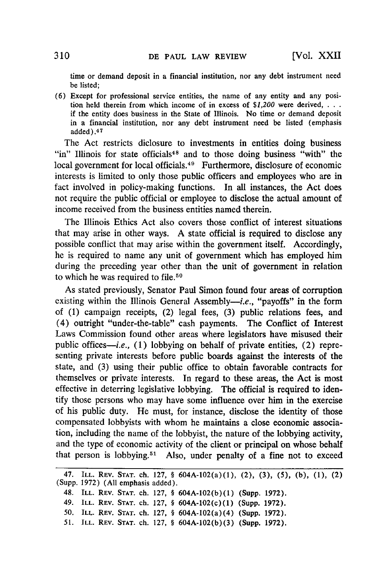time or demand deposit in a financial institution, nor any debt instrument need be listed;

**(6)** Except for professional service entities, the name of any entity and any position held therein from which income of in excess of *\$1,200* were derived, **...** if the entity does business in the State of Illinois. No time or demand deposit in a financial institution, nor any debt instrument need be listed (emphasis added).47

The Act restricts diclosure to investments in entities doing business "in" Illinois for state officials<sup>48</sup> and to those doing business "with" the local government for local officials.<sup>49</sup> Furthermore, disclosure of economic interests is limited to only those public officers and employees who are in fact involved in policy-making functions. In all instances, the Act does not require the public official or employee to disclose the actual amount of income received from the business entities named therein.

The Illinois Ethics Act also covers those conflict of interest situations that may arise in other ways. **A** state official is required to disclose any possible conflict that may arise within the government itself. Accordingly, he is required to name any unit of government which has employed him during the preceding year other than the unit of government in relation to which he was required to file.<sup>50</sup>

As stated previously, Senator Paul Simon found four areas of corruption existing within the Illinois General Assembly-i.e., "payoffs" in the form of **(1)** campaign receipts, (2) legal fees, **(3)** public relations fees, and (4) outright "under-the-table" cash payments. The Conflict of Interest Laws Commission found other areas where legislators have misused their public offices-i.e., (1) lobbying on behalf of private entities, (2) representing private interests before public boards against the interests of the state, and **(3)** using their public office to obtain favorable contracts for themselves or private interests. In regard to these areas, the Act is most effective in deterring legislative lobbying. The official is required to identify those persons who may have some influence over him in the exercise of his public duty. He must, for instance, disclose the identity of those compensated lobbyists with whom he maintains a close economic association, including the name of the lobbyist, the nature of the lobbying activity, and the type of economic activity of the client or principal on whose behalf that person is lobbying.<sup>51</sup> Also, under penalty of a fine not to exceed

<sup>47.</sup> ILL. REV. **STAT.** ch. 127, § 604A-102(a)(l), (2), **(3), (5), (b), (1), (2)** (Supp. 1972) (All emphasis added).

<sup>48.</sup> ILL. **REV. STAT.** ch. 127, § 604A-102(b)(1) (Supp. 1972).

<sup>49.</sup> **ILL.** REV. **STAT.** ch. 127, § 604A-102(c)(1) (Supp. 1972).

*<sup>50.</sup>* ILL. REV. **STAT.** ch. **127,** § 604A-102(a)(4) (Supp. 1972).

*<sup>51.</sup>* **ILL.** REV. **STAT.** ch. 127, § 604A-102(b)(3) (Supp. **1972).**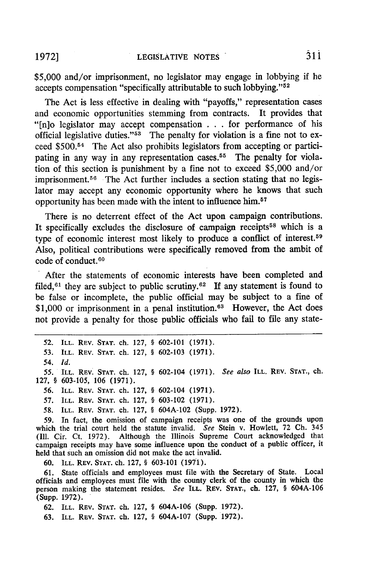\$5,000 and/or imprisonment, no legislator may engage in lobbying if he accepts compensation "specifically attributable to such lobbying."<sup>52</sup>

The Act is less effective in dealing with "payoffs," representation cases and economic opportunities stemming from contracts. It provides that "[n]o legislator may accept compensation **.** . . for performance of his official legislative duties." $53$  The penalty for violation is a fine not to exceed \$500.<sup>54</sup> The Act also prohibits legislators from accepting or participating in any way in any representation cases.<sup>55</sup> The penalty for violation of this section is punishment **by** a fine not to exceed \$5,000 and/or imprisonment.<sup>56</sup> The Act further includes a section stating that no legislator may accept any economic opportunity where he knows that such opportunity has been made with the intent to influence him. <sup>57</sup>

There is no deterrent effect of the Act upon campaign contributions. It specifically excludes the disclosure of campaign receipts<sup>58</sup> which is a type of economic interest most likely to produce a conflict of interest. <sup>59</sup> Also, political contributions were specifically removed from the ambit of code of conduct.<sup>60</sup>

After the statements of economic interests have been completed and filed,  $61$  they are subject to public scrutiny.  $62$  If any statement is found to be false or incomplete, the public official may be subject to a fine of  $$1,000$  or imprisonment in a penal institution.<sup>63</sup> However, the Act does not provide a penalty for those public officials who fail to file any state-

**56.** ILL. REV. **STAT.** ch. 127, § 602-104 **(1971).**

**57.** ILL. REV. **STAT.** ch. 127, § 603-102 (1971).

**58.** ILL. REV. **STAT.** ch. 127, § 604A-102 (Supp. 1972).

**59.** In fact, the omission of campaign receipts was one of the grounds upon which the trial court held the statute invalid. *See* Stein v. Howlett, 72 **Ch.** 345 (Ill. Cir. Ct. 1972). Although the Illinois Supreme Court acknowledged that campaign receipts may have some influence upon the conduct of a public officer, it held that such an omission did not make the act invalid.

**60. ILL.** REV. **STAT. ch.** 127, § 603-101 (1971).

**61.** State officials and employees must file with the Secretary of State. Local officials and employees must file with the county clerk of the county in which the person making the statement resides. *See* ILL. **REv. STAT.,** ch. 127, § 604A-106 (Supp. **1972).**

62. ILL. REV. **STAT.** ch. 127, § 604A-106 (Supp. 1972).

63. ILL. REV. **STAT.** ch. 127, § 604A-107 (Supp. 1972).

**<sup>52.</sup> ILL.** REV. **STAT.** ch. 127, § 602-101 **(1971).**

*<sup>53.</sup>* ILL. REV. **STAT.** ch. 127, § 602-103 (1971).

*<sup>54.</sup> Id.*

*<sup>55.</sup>* ILL. REV. **STAT.** ch. 127, § 602-104 (1971). *See also* ILL. REV. **STAT.,** ch. 127, § 603-105, **106** (1971).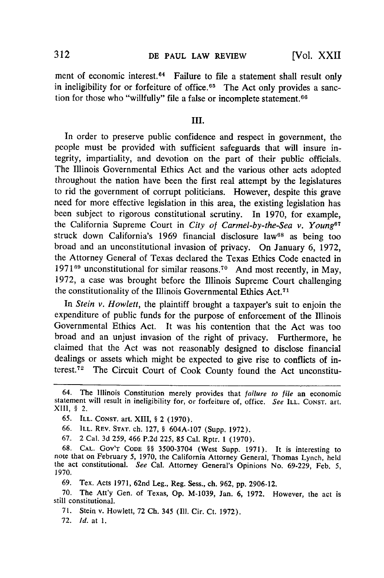### **DE PAUL LAW REVIEW 312 (Vol. XXII**

ment of economic interest.<sup>64</sup> Failure to file a statement shall result only in ineligibility for or forfeiture of office.<sup>65</sup> The Act only provides a sanction for those who "willfully" file a false or incomplete statement.<sup>66</sup>

#### **Ill.**

In order to preserve public confidence and respect in government, the people must be provided with sufficient safeguards that will insure integrity, impartiality, and devotion on the part of their public officials. The Illinois Governmental Ethics Act and the various other acts adopted throughout the nation have been the first real attempt by the legislatures to rid the government of corrupt politicians. However, despite this grave need for more effective legislation in this area, the existing legislation has been subject to rigorous constitutional scrutiny. In 1970, for example, the California Supreme Court in *City of Carmel-by-the-Sea v. Young"7* struck down California's 1969 financial disclosure law<sup>68</sup> as being too broad and an unconstitutional invasion of privacy. On January 6, 1972, the Attorney General of Texas declared the Texas Ethics Code enacted in 1971 $^{69}$  unconstitutional for similar reasons.<sup>70</sup> And most recently, in May, 1972, a case was brought before the Illinois Supreme Court challenging the constitutionality of the Illinois Governmental Ethics Act. <sup>71</sup>

In *Stein v. Howlett,* the plaintiff brought a taxpayer's suit to enjoin the expenditure of public funds for the purpose of enforcement of the Illinois Governmental Ethics Act. It was his contention that the Act was too broad and an unjust invasion of the right of privacy. Furthermore, he claimed that the Act was not reasonably designed to disclose financial dealings or assets which might be expected to give rise to conflicts of interest.<sup>72</sup> The Circuit Court of Cook County found the Act unconstitu-

67. 2 Cal. 3d **259,** 466 P.2d **225,** 85 Cal. Rptr. 1 (1970).

68. CAL. GOV'T CODE §§ 3500-3704 (West Supp. 1971). It is interesting to note that on February 5, 1970, the California Attorney General, Thomas Lynch, held the act constitutional. *See* Cal. Attorney General's Opinions No. 69-229, Feb. 5, 1970.

69. Tex. Acts 1971, 62nd Leg., Reg. Sess., ch. 962, pp. 2906-12.

70. The Att'y Gen. of Texas, Op. M-1039, Jan. 6, 1972. However, the act is still constitutional.

71. Stein v. Howlett, 72 Ch. 345 **(I11.** Cir. Ct. 1972).

72. *Id.* at 1.

<sup>64.</sup> The Illinois Constitution merely provides that *failure to file* an economic statement will result in ineligibility for, or forfeiture of, office. *See* ILL. CONST. art. XIII, **§** 2.

**<sup>65.</sup>** ILL. CONST. art. XIII, § 2 (1970).

<sup>66.</sup> ILL. REv. STAT. ch. 127, § 604A-107 (Supp. 1972).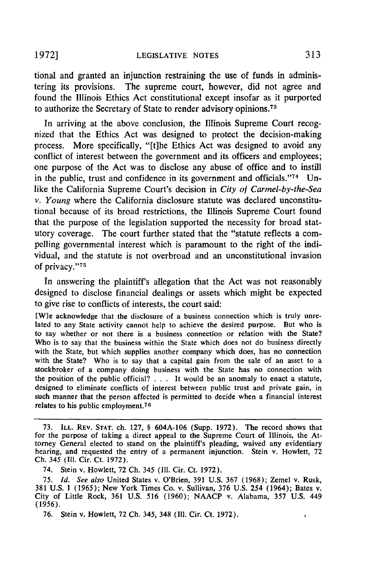tional and granted an injunction restraining the use of funds in administering its provisions. The supreme court, however, did not agree and found the Illinois Ethics Act constitutional except insofar as it purported to authorize the Secretary of State to render advisory opinions. <sup>73</sup>

In arriving at the above conclusion, the Illinois Supreme Court recognized that the Ethics Act was designed to protect the decision-making process. More specifically, "[t]he Ethics Act was designed to avoid any conflict of interest between the government and its officers and employees; one purpose of the Act was to disclose any abuse of office and to instill in the public, trust and confidence in its government and officials."<sup>74</sup> Unlike the California Supreme Court's decision in *City* of *Carmel-by-the-Sea v. Young* where the California disclosure statute was declared unconstitutional because of its broad restrictions, the Illinois Supreme Court found that the purpose of the legislation supported the necessity for broad statutory coverage. The court further stated that the "statute reflects a compelling governmental interest which is paramount to the right of the individual, and the statute is not overbroad and an unconstitutional invasion of privacy."75

In answering the plaintiff's allegation that the Act was not reasonably designed to disclose financial dealings or assets which might be expected to give rise to conflicts of interests, the court said:

[W]e acknowledge that the disclosure of a business connection which is truly unrelated to any State activity cannot help to achieve the desired purpose. But who is to say whether or not there is a business connection or relation with the State? Who is to say that the business within the State which does not do business directly with the State, but which supplies another company which does, has no connection with the State? Who is to say that a capital gain from the sale of an asset to a stockbroker of a company doing business with the State has no connection with the position of the public official? . . . It would be an anomaly to enact a statute, designed to eliminate conflicts of interest between public trust and private gain, in such manner that the person affected is permitted to decide when a financial interest relates to his public employment.<sup>76</sup>

 $\ddot{\bullet}$ 

<sup>73.</sup> ILL. **REV. STAT.** ch. 127, § 604A-106 (Supp. 1972). The record shows that for the purpose of taking a direct appeal to the Supreme Court of Illinois, the Attorney General elected to stand on the plaintiff's pleading, waived any evidentiary hearing, and requested the entry of a permanent injunction. Stein v. Howlett, 72 Ch. 345 (Il. Cir. Ct. 1972).

<sup>74.</sup> Stein v. Howlett, 72 Ch. 345 **(111.** Cir. Ct. 1972).

<sup>75.</sup> *Id. See also* United States v. O'Brien, 391 U.S. 367 (1968); Zemel v. Rusk, 381 U.S. 1 (1965); New York Times Co. v. Sullivan, 376 U.S. 254 (1964); Bates v. City of Little Rock, 361 U.S. 516 (1960); NAACP v. Alabama, 357 U.S. 449 (1956).

<sup>76.</sup> Stein v. Howlett, 72 Ch. 345, 348 (Il1. Cir. Ct. 1972).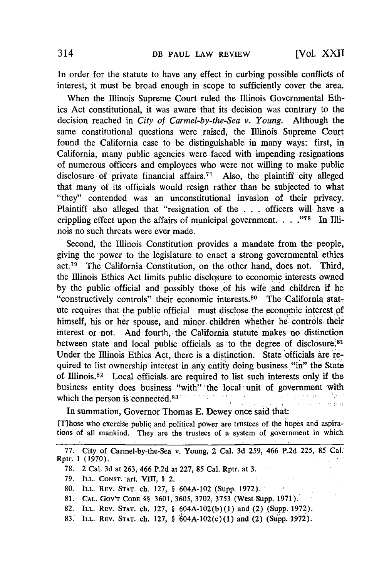In order for the statute to have any effect in curbing possible conflicts of interest, it must .be broad enough in scope to sufficiently cover the area.

When the Illinois Supreme Court ruled the Illinois Governmental Ethics Act constitutional, it was aware that its decision was contrary to the decision reached in *City* of *Carmel-by-the-Sea v. Young..* Although the same constitutional questions were raised, the Illinois Supreme Court found the California case to be distinguishable in many ways: first, in California, many public agencies were faced with impending resignations of numerous officers and employees who were not willing to make public disclosure of private financial affairs.<sup> $77$ </sup> Also, the plaintiff city alleged that many of its officials would resign rather than be subjected to what "they" contended was an unconstitutional invasion of their privacy. Plaintiff also alleged that "resignation of the . . . officers will- have **-a** crippling effect upon the affairs of municipal government.  $\ldots$ <sup>78</sup> In Illinois no such threats were ever made.

Second, the Illinois Constitution provides a mandate from the people, giving the power to the legislature to enact a strong governmental ethics act.79 The California Constitution, on the other hand, does not. Third, the Illinois Ethics Act limits public disclosure to economic interests owned by the public official and possibly those of his wife and children if he "constructively controls" their economic interests.<sup>80</sup> The California statute requires that the public official must disclose the economic interest of himself, his or her spouse, and minor children whether he controls their interest or not. And fourth, the California statute makes no distinction between state and local public officials as to the degree of disclosure.<sup>81</sup> Under the Illinois Ethics Act, there is a distinction. State officials are required to list ownership interest in any entity doing business "in" the State of Illinois.<sup>82</sup> Local officials are required to list such interests only if the business entity does business "with" 'the local unit of government with  $\sim$   $\lambda$ n ji kasa millim h rong in careful (+12) which the person is connected.<sup>83</sup> government and an

In summation, Governor Thomas E. Dewey once said that:

[Those who exercise public and political power are trustees of the hopes and aspirations of all mankind. They are the trustees of a system of government in which

<sup>77.</sup> City of Carmel-by-the-Sea v. Young, 2 Cal. 3d 259, 466 P.2d 225, 85 Cal. Rptr. 1 (1970).

<sup>78. 2</sup> Cal. 3d at 263, 466 P.2d at 227, 85 Cal. Rptr. at 3.

<sup>79.</sup> ILL. CONST. art. VIII, **§** 2.

<sup>80.</sup> ILL. REV. STAT. ch. 127, § 604A-102 (Supp. 1972).

<sup>81.</sup> CAL. Gov'T **CODE** §§ **3601, 3605, 3702,** 3753 (West Supp. 1971).

<sup>82.</sup> ILL. REV. **STAT.** ch. 127, § 604A-102(b)(l) and (2) (Supp. 1972).

<sup>83.&#</sup>x27; **ILL.** REV. **STAT.** ch. 127, § 6'04A-102(c)(1) and (2) (Supp. **1972).**